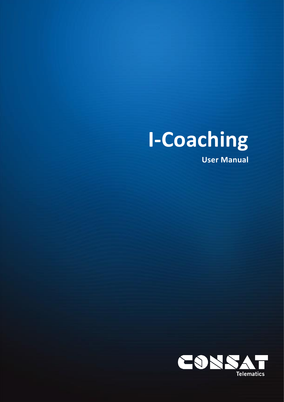## **I-Coaching**

**User Manual**

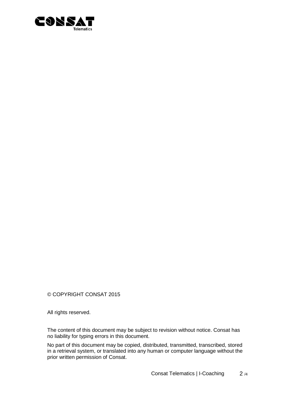

© COPYRIGHT CONSAT 2015

All rights reserved.

The content of this document may be subject to revision without notice. Consat has no liability for typing errors in this document.

No part of this document may be copied, distributed, transmitted, transcribed, stored in a retrieval system, or translated into any human or computer language without the prior written permission of Consat.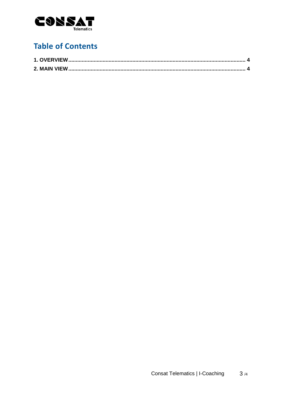

## **Table of Contents**